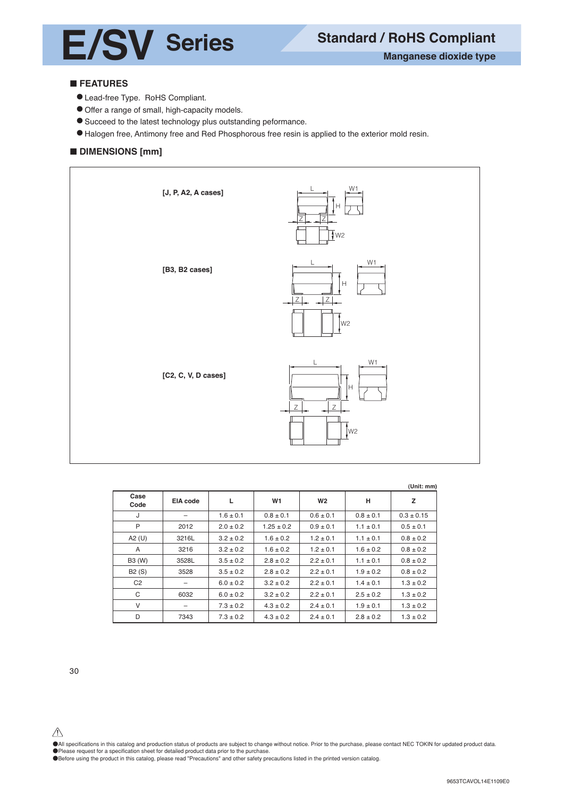

# **E** FEATURES

- Lead-free Type. RoHS Compliant.
- Offer a range of small, high-capacity models.
- Succeed to the latest technology plus outstanding peformance.
- Halogen free, Antimony free and Red Phosphorous free resin is applied to the exterior mold resin.

# $\blacksquare$  **DIMENSIONS [mm]**



| (Unit: mm) |
|------------|
|------------|

| Case<br>Code   | EIA code | L             | W1             | W <sub>2</sub> | н             | z              |
|----------------|----------|---------------|----------------|----------------|---------------|----------------|
| J              |          | $1.6 \pm 0.1$ | $0.8 \pm 0.1$  | $0.6 \pm 0.1$  | $0.8 \pm 0.1$ | $0.3 \pm 0.15$ |
| P              | 2012     | $2.0 \pm 0.2$ | $1.25 \pm 0.2$ | $0.9 \pm 0.1$  | $1.1 \pm 0.1$ | $0.5 \pm 0.1$  |
| A2 $(U)$       | 3216L    | $3.2 \pm 0.2$ | $1.6 \pm 0.2$  | $1.2 \pm 0.1$  | $1.1 \pm 0.1$ | $0.8 \pm 0.2$  |
| A              | 3216     | $3.2 \pm 0.2$ | $1.6 \pm 0.2$  | $1.2 \pm 0.1$  | $1.6 \pm 0.2$ | $0.8 \pm 0.2$  |
| B3 (W)         | 3528L    | $3.5 \pm 0.2$ | $2.8 \pm 0.2$  | $2.2 \pm 0.1$  | $1.1 \pm 0.1$ | $0.8 \pm 0.2$  |
| B2(S)          | 3528     | $3.5 \pm 0.2$ | $2.8 \pm 0.2$  | $2.2 \pm 0.1$  | $1.9 \pm 0.2$ | $0.8 \pm 0.2$  |
| C <sub>2</sub> |          | $6.0 \pm 0.2$ | $3.2 \pm 0.2$  | $2.2 \pm 0.1$  | $1.4 \pm 0.1$ | $1.3 \pm 0.2$  |
| C              | 6032     | $6.0 \pm 0.2$ | $3.2 \pm 0.2$  | $2.2 \pm 0.1$  | $2.5 \pm 0.2$ | $1.3 \pm 0.2$  |
| V              | -        | $7.3 \pm 0.2$ | $4.3 \pm 0.2$  | $2.4 \pm 0.1$  | $1.9 \pm 0.1$ | $1.3 \pm 0.2$  |
| D              | 7343     | $7.3 \pm 0.2$ | $4.3 \pm 0.2$  | $2.4 \pm 0.1$  | $2.8 \pm 0.2$ | $1.3 \pm 0.2$  |

30

●All specifications in this catalog and production status of products are subject to change without notice. Prior to the purchase, please contact NEC TOKIN for updated product data. ●Please request for a specification sheet for detailed product data prior to the purchase.

●Before using the product in this catalog, please read "Precautions" and other safety precautions listed in the printed version catalog.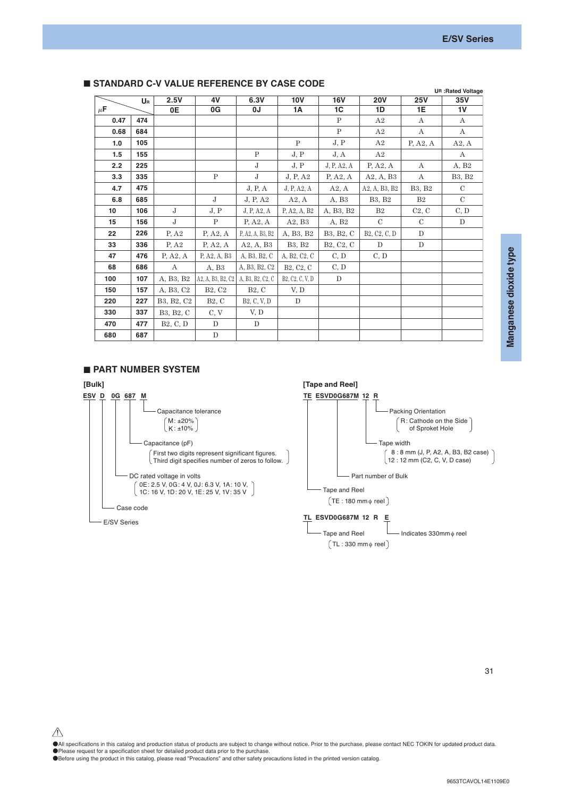|         | UR  | 2.5V                                | 4V                                   | 6.3V                     | 10V                                                                                | 16V                                              | <b>20V</b>                                                      | <b>25V</b>         | 35V               |
|---------|-----|-------------------------------------|--------------------------------------|--------------------------|------------------------------------------------------------------------------------|--------------------------------------------------|-----------------------------------------------------------------|--------------------|-------------------|
| $\mu$ F |     | 0E                                  | 0G                                   | 0J                       | 1A                                                                                 | 1C                                               | 1D                                                              | 1E                 | 1 <sub>V</sub>    |
| 0.47    | 474 |                                     |                                      |                          |                                                                                    | $\mathbf{P}$                                     | A2                                                              | $\mathbf{A}$       | $\mathbf{A}$      |
| 0.68    | 684 |                                     |                                      |                          |                                                                                    | $\mathbf{P}$                                     | A2                                                              | А                  | А                 |
| 1.0     | 105 |                                     |                                      |                          | P                                                                                  | J, P                                             | A2                                                              | P, A2, A           | A2, A             |
| 1.5     | 155 |                                     |                                      | $\mathbf{P}$             | J, P                                                                               | J, A                                             | A2                                                              |                    | A                 |
| 2.2     | 225 |                                     |                                      | $\mathbf{J}$             | J, P                                                                               | J, P, A2, A                                      | P, A2, A                                                        | $\mathbf{A}$       | A, B <sub>2</sub> |
| 3.3     | 335 |                                     | $\mathbf{P}$                         | J                        | J, P, A2                                                                           | P, A2, A                                         | A2, A, B3                                                       | $\mathbf{A}$       | B3, B2            |
| 4.7     | 475 |                                     |                                      | J, P, A                  | J, P, A2, A                                                                        | A2, A                                            | A2, A, B3, B2                                                   | B3, B2             | $\mathcal{C}$     |
| 6.8     | 685 |                                     | J                                    | J, P, A2                 | A2, A                                                                              | A, B3                                            | <b>B3, B2</b>                                                   | B <sub>2</sub>     | $\mathcal{C}$     |
| 10      | 106 | $\mathbf{J}$                        | J, P                                 | J, P, A2, A              | P. A <sub>2</sub> , A <sub>2</sub> , B <sub>2</sub>                                | A, B <sub>3</sub> , B <sub>2</sub>               | B <sub>2</sub>                                                  | C <sub>2</sub> , C | C, D              |
| 15      | 156 | $\mathbf{J}$                        | $\mathbf{P}$                         | P, A2, A                 | A2, B3                                                                             | A, B <sub>2</sub>                                | $\mathcal{C}$                                                   | $\mathcal{C}$      | D                 |
| 22      | 226 | P, A2                               | P, A2, A                             | P, A2, A, B3, B2         | A, B3, B2                                                                          | B <sub>3</sub> , B <sub>2</sub> , C              | B <sub>2</sub> , C <sub>2</sub> , C <sub>1</sub> D <sub>1</sub> | D                  |                   |
| 33      | 336 | P, A2                               | P, A2, A                             | A2, A, B3                | B3. B2                                                                             | B <sub>2</sub> , C <sub>2</sub> , C <sub>1</sub> | D                                                               | D                  |                   |
| 47      | 476 | P, A2, A                            | P, A2, A, B3                         | A, B3, B2, C             | A, B <sub>2</sub> , C <sub>2</sub> , C <sub>1</sub>                                | C, D                                             | C, D                                                            |                    |                   |
| 68      | 686 | $\mathbf{A}$                        | A, B3                                | A, B3, B2, C2            | B <sub>2</sub> , C <sub>2</sub> , C <sub>1</sub>                                   | C, D                                             |                                                                 |                    |                   |
| 100     | 107 | A, B3, B2                           | $A2, A, B3, B2, C2$ A, B3, B2, C2, C |                          | B <sub>2</sub> , C <sub>2</sub> , C <sub>2</sub> , V <sub>2</sub> , D <sub>1</sub> | D                                                |                                                                 |                    |                   |
| 150     | 157 | A, B3, C2                           | B <sub>2</sub> , C <sub>2</sub>      | B2, C                    | V, D                                                                               |                                                  |                                                                 |                    |                   |
| 220     | 227 | B3, B2, C2                          | B2, C                                | B <sub>2</sub> , C, V, D | D                                                                                  |                                                  |                                                                 |                    |                   |
| 330     | 337 | B <sub>3</sub> , B <sub>2</sub> , C | C, V                                 | V, D                     |                                                                                    |                                                  |                                                                 |                    |                   |
| 470     | 477 | B <sub>2</sub> , C, D               | ${\rm D}$                            | D                        |                                                                                    |                                                  |                                                                 |                    |                   |
| 680     | 687 |                                     | ${\bf D}$                            |                          |                                                                                    |                                                  |                                                                 |                    |                   |

# **STANDARD C-V VALUE REFERENCE BY CASE CODE**

#### $\blacksquare$  **PART NUMBER SYSTEM**



●All specifications in this catalog and production status of products are subject to change without notice. Prior to the purchase, please contact NEC TOKIN for updated product data. ●Please request for a specification sheet for detailed product data prior to the purchase.

●Before using the product in this catalog, please read "Precautions" and other safety precautions listed in the printed version catalog.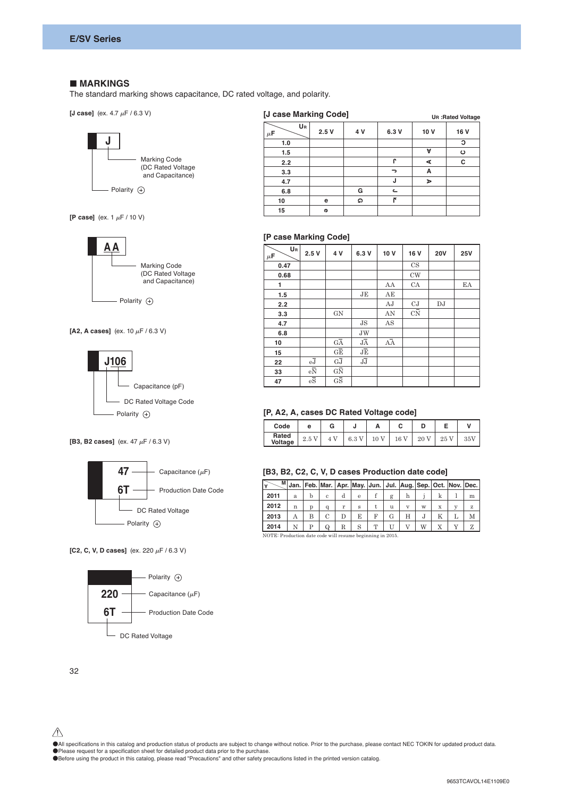#### $\blacksquare$  **MARKINGS**

The standard marking shows capacitance, DC rated voltage, and polarity.

**[J case]** (ex.  $4.7 \mu$ F / 6.3 V)



| <b>U</b> case marking Coup |      |     | <b>UR: Rated Voltage</b> |      |         |  |
|----------------------------|------|-----|--------------------------|------|---------|--|
| UR<br>$\mu$ F              | 2.5V | 4 V | 6.3 V                    | 10 V | 16 V    |  |
| 1.0                        |      |     |                          |      | С       |  |
| 1.5                        |      |     |                          | A    | $\circ$ |  |
| 2.2                        |      |     | r                        | ⋖    | С       |  |
| 3.3                        |      |     | ∍                        | А    |         |  |
| 4.7                        |      |     | J                        | ъ    |         |  |
| 6.8                        |      | G   | ے                        |      |         |  |
| 10                         | е    | Ω   | $\overline{p}$           |      |         |  |
| 15                         | Φ    |     |                          |      |         |  |

**[J case Marking Code]**

**[P case]** (ex.  $1 \mu$ F / 10 V)



[A2, A cases] (ex. 10  $\mu$ F / 6.3 V)



**[B3, B2 cases]** (ex. 47  $\mu$ F / 6.3 V)



**[C2, C, V, D cases]** (ex. 220  $\mu$ F / 6.3 V)



| ιv                    | c |      |           | יע |       |      |           |            |  |            |  |  |
|-----------------------|---|------|-----------|----|-------|------|-----------|------------|--|------------|--|--|
| 15                    |   |      | Φ         |    |       |      |           |            |  |            |  |  |
|                       |   |      |           |    |       |      |           |            |  |            |  |  |
| [P case Marking Code] |   |      |           |    |       |      |           |            |  |            |  |  |
| UR<br>$\mu$ F         |   | 2.5V | 4 V       |    | 6.3 V | 10 V | 16 V      | <b>20V</b> |  | <b>25V</b> |  |  |
| 0.47                  |   |      |           |    |       |      | CS        |            |  |            |  |  |
| 0.68                  |   |      |           |    |       |      | <b>CW</b> |            |  |            |  |  |
|                       |   |      |           |    |       | AA   | CA        |            |  | EA         |  |  |
| 1.5                   |   |      |           |    | JE    | AE   |           |            |  |            |  |  |
| 2.2                   |   |      |           |    |       | AJ   | CJ        | DJ         |  |            |  |  |
| 3.3                   |   |      | <b>GN</b> |    |       | AN   | CN        |            |  |            |  |  |
| 4.7                   |   |      |           |    | JS    | AS   |           |            |  |            |  |  |
|                       |   |      |           |    |       |      |           |            |  |            |  |  |

| UR<br>$\mu$ F | 2.5V                              | 4 V                                          | 6.3 V           | 10 V            | 16 V        | <b>20V</b> | <b>25V</b> |
|---------------|-----------------------------------|----------------------------------------------|-----------------|-----------------|-------------|------------|------------|
| 0.47          |                                   |                                              |                 |                 | $_{\rm CS}$ |            |            |
| 0.68          |                                   |                                              |                 |                 | <b>CW</b>   |            |            |
| 1.            |                                   |                                              |                 | AA              | CA          |            | EA         |
| 1.5           |                                   |                                              | JE              | AE              |             |            |            |
| 2.2           |                                   |                                              |                 | AJ              | CJ          | DJ         |            |
| 3.3           |                                   | GN                                           |                 | AN              | CN          |            |            |
| 4.7           |                                   |                                              | JS              | AS              |             |            |            |
| 6.8           |                                   |                                              | <b>JW</b>       |                 |             |            |            |
| 10            |                                   | $\overline{\mathbf{G}\mathbf{\overline{A}}}$ | $J\overline{A}$ | $\overline{AA}$ |             |            |            |
| 15            |                                   | $G\overline{E}$                              | JĒ              |                 |             |            |            |
| 22            | $\mathrm{e}\overline{\mathrm{J}}$ | $G\overline{J}$                              | JJ              |                 |             |            |            |
| 33            | $e\overline{N}$                   | $G\overline{N}$                              |                 |                 |             |            |            |
| 47            | $\rm e\overline{S}$               | $G\overline{S}$                              |                 |                 |             |            |            |

## **[P, A2, A, cases DC Rated Voltage code]**

| Code             | е   | G                   |     |    |    |    |    |        |
|------------------|-----|---------------------|-----|----|----|----|----|--------|
| Rated<br>Voltage | 2.5 | $\overline{V}$<br>4 | 6.3 | 10 | 16 | 20 | 25 | $35\%$ |

## F) **[B3, B2, C2, C, V, D cases Production date code]**

| v                                                        |   |   |          |   |   |   |   | M Jan. Feb. Mar.   Apr. May. Jun.   Jul.   Aug.   Sep.   Oct.   Nov.   Dec. |    |             |   |   |
|----------------------------------------------------------|---|---|----------|---|---|---|---|-----------------------------------------------------------------------------|----|-------------|---|---|
| 2011                                                     | a | h | c        | d | e |   | g | h                                                                           |    | k           |   | m |
| 2012                                                     | n | D | a        | r | s |   | u | V                                                                           | W  | $\mathbf x$ | v | z |
| 2013                                                     | А | в |          |   | E | F | G | Н                                                                           | ٠J |             |   | М |
| 2014                                                     | N | р | $\Omega$ | R |   | т |   |                                                                             | W  |             |   |   |
| NOTE: Production data code will resume beginning in 2015 |   |   |          |   |   |   |   |                                                                             |    |             |   |   |

NOTE: Production date code will resume beginning in 2015.

 $\triangle$ 

●All specifications in this catalog and production status of products are subject to change without notice. Prior to the purchase, please contact NEC TOKIN for updated product data.

●Please request for a specification sheet for detailed product data prior to the purchase.

●Before using the product in this catalog, please read "Precautions" and other safety precautions listed in the printed version catalog.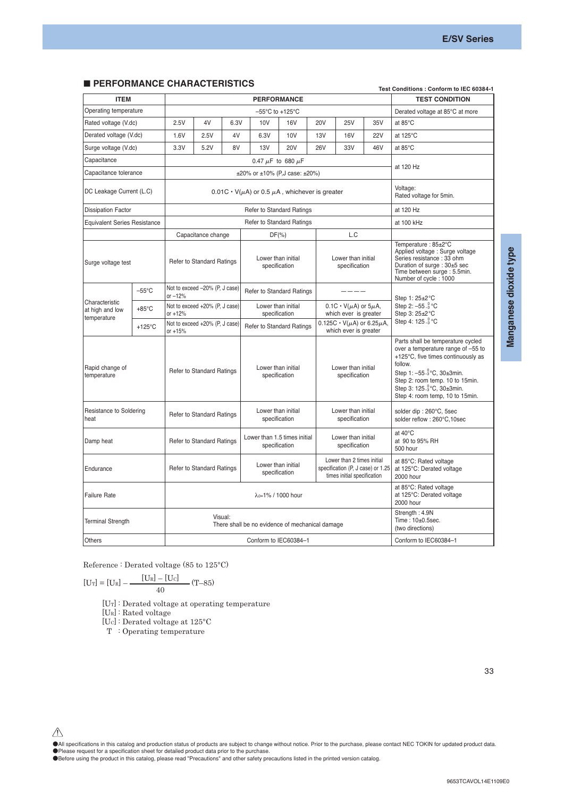## **E PERFORMANCE CHARACTERISTICS**

|                                                  | URIWANUE UNARAU I ERISTIUS |                                                            |                                  |           |                                                              |                                     |                                     |                                                                                                |                                                                                                                                                                                                                                                         | Test Conditions : Conform to IEC 60384-1                         |  |
|--------------------------------------------------|----------------------------|------------------------------------------------------------|----------------------------------|-----------|--------------------------------------------------------------|-------------------------------------|-------------------------------------|------------------------------------------------------------------------------------------------|---------------------------------------------------------------------------------------------------------------------------------------------------------------------------------------------------------------------------------------------------------|------------------------------------------------------------------|--|
| <b>ITEM</b>                                      |                            |                                                            |                                  |           |                                                              | <b>PERFORMANCE</b>                  |                                     |                                                                                                |                                                                                                                                                                                                                                                         | <b>TEST CONDITION</b>                                            |  |
| Operating temperature                            |                            |                                                            |                                  |           |                                                              | -55°C to +125°C                     |                                     |                                                                                                |                                                                                                                                                                                                                                                         | Derated voltage at 85°C at more                                  |  |
| Rated voltage (V.dc)                             |                            | 2.5V                                                       | 4V                               | 6.3V      | 10V                                                          | 16V                                 | <b>20V</b>                          | <b>25V</b>                                                                                     | 35V                                                                                                                                                                                                                                                     | at 85°C                                                          |  |
| Derated voltage (V.dc)                           |                            | 1.6V                                                       | 2.5V                             | 4V        | 6.3V                                                         | 10V                                 | 13V                                 | 16V                                                                                            | <b>22V</b>                                                                                                                                                                                                                                              | at 125°C                                                         |  |
| Surge voltage (V.dc)                             |                            | 3.3V                                                       | 5.2V                             | 8V        | 13V                                                          | <b>20V</b>                          | <b>26V</b>                          | 33V                                                                                            | 46V                                                                                                                                                                                                                                                     | at 85°C                                                          |  |
| Capacitance                                      |                            |                                                            |                                  |           |                                                              | 0.47 $\mu$ F to 680 $\mu$ F         |                                     |                                                                                                |                                                                                                                                                                                                                                                         |                                                                  |  |
| Capacitance tolerance                            |                            |                                                            |                                  |           | ±20% or ±10% (P,J case: ±20%)                                |                                     |                                     |                                                                                                |                                                                                                                                                                                                                                                         | at 120 Hz                                                        |  |
| DC Leakage Current (L.C)                         |                            |                                                            |                                  |           | $0.01C \cdot V(\mu A)$ or 0.5 $\mu A$ , whichever is greater |                                     |                                     |                                                                                                |                                                                                                                                                                                                                                                         | Voltage:<br>Rated voltage for 5min.                              |  |
| <b>Dissipation Factor</b>                        |                            |                                                            |                                  | at 120 Hz |                                                              |                                     |                                     |                                                                                                |                                                                                                                                                                                                                                                         |                                                                  |  |
| <b>Equivalent Series Resistance</b>              |                            | <b>Refer to Standard Ratings</b>                           |                                  |           |                                                              |                                     |                                     |                                                                                                |                                                                                                                                                                                                                                                         | at 100 kHz                                                       |  |
|                                                  |                            |                                                            | Capacitance change               |           |                                                              | $DF(\% )$                           |                                     | L.C                                                                                            |                                                                                                                                                                                                                                                         |                                                                  |  |
| Surge voltage test                               |                            | Refer to Standard Ratings                                  |                                  |           | Lower than initial<br>specification                          |                                     | Lower than initial<br>specification |                                                                                                | Temperature: 85±2°C<br>Applied voltage : Surge voltage<br>Series resistance : 33 ohm<br>Duration of surge : 30±5 sec<br>Time between surge : 5.5min.<br>Number of cycle: 1000                                                                           |                                                                  |  |
|                                                  | $-55^{\circ}$ C            | Not to exceed -20% (P, J case)<br>$or -12%$                |                                  |           | <b>Refer to Standard Ratings</b>                             |                                     |                                     |                                                                                                |                                                                                                                                                                                                                                                         | Step 1: 25±2 °C                                                  |  |
| Characteristic<br>at high and low<br>temperature | $+85^{\circ}$ C            | $or +12%$                                                  | Not to exceed +20% (P, J case)   |           |                                                              | Lower than initial<br>specification |                                     | $0.1C \cdot V(\mu A)$ or $5\mu A$ ,<br>which ever is greater                                   |                                                                                                                                                                                                                                                         | Step 2: $-55\frac{0}{3}$ °C<br>Step 3: 25±2°C                    |  |
|                                                  | $+125^{\circ}$ C           | Not to exceed +20% (P, J case)<br>or $+15%$                |                                  |           | <b>Refer to Standard Ratings</b>                             |                                     |                                     | $0.125C \cdot V(\mu A)$ or 6.25 $\mu A$ ,<br>which ever is greater                             |                                                                                                                                                                                                                                                         | Step 4: 125 °C                                                   |  |
| Rapid change of<br>temperature                   |                            | <b>Refer to Standard Ratings</b>                           |                                  |           | Lower than initial<br>specification                          |                                     | Lower than initial<br>specification |                                                                                                | Parts shall be temperature cycled<br>over a temperature range of -55 to<br>+125°C, five times continuously as<br>follow.<br>Step 1: -55-3°C, 30±3min.<br>Step 2: room temp. 10 to 15min.<br>Step 3: 125 °C, 30±3min.<br>Step 4: room temp, 10 to 15min. |                                                                  |  |
| <b>Resistance to Soldering</b><br>heat           |                            |                                                            | Refer to Standard Ratings        |           | Lower than initial<br>specification                          |                                     | Lower than initial<br>specification |                                                                                                | solder dip: 260°C, 5sec<br>solder reflow: 260°C,10sec                                                                                                                                                                                                   |                                                                  |  |
| Damp heat                                        |                            |                                                            | <b>Refer to Standard Ratings</b> |           | Lower than 1.5 times initial                                 | specification                       |                                     | Lower than initial<br>specification                                                            |                                                                                                                                                                                                                                                         | at 40°C<br>at 90 to 95% RH<br>500 hour                           |  |
| Endurance                                        |                            |                                                            | Refer to Standard Ratings        |           |                                                              | Lower than initial<br>specification |                                     | Lower than 2 times initial<br>specification (P, J case) or 1.25<br>times initial specification |                                                                                                                                                                                                                                                         | at 85°C: Rated voltage<br>at 125°C: Derated voltage<br>2000 hour |  |
| <b>Failure Rate</b>                              |                            |                                                            | λο=1% / 1000 hour                |           |                                                              |                                     |                                     |                                                                                                |                                                                                                                                                                                                                                                         | at 85°C: Rated voltage<br>at 125°C: Derated voltage<br>2000 hour |  |
| Terminal Strength                                |                            | Visual:<br>There shall be no evidence of mechanical damage |                                  |           |                                                              |                                     |                                     |                                                                                                | Strength: 4.9N<br>Time: 10±0.5sec.<br>(two directions)                                                                                                                                                                                                  |                                                                  |  |
| <b>Others</b>                                    |                            |                                                            |                                  |           | Conform to IEC60384-1                                        |                                     |                                     |                                                                                                | Conform to IEC60384-1                                                                                                                                                                                                                                   |                                                                  |  |

Manganese dioxide type

**Manganese dioxide type**

Reference : Derated voltage (85 to 125°C)

$$
[U_T] = [U_R] - \frac{[U_R] - [U_C]}{40} \tag{T-85}
$$

[UT] : Derated voltage at operating temperature

[UR] : Rated voltage

[UC] : Derated voltage at 125°C

T : Operating temperature

33

●All specifications in this catalog and production status of products are subject to change without notice. Prior to the purchase, please contact NEC TOKIN for updated product data.

●Please request for a specification sheet for detailed product data prior to the purchase.<br>●Before using the product in this catalog, please read "Precautions" and other safety precautions listed in the printed version ca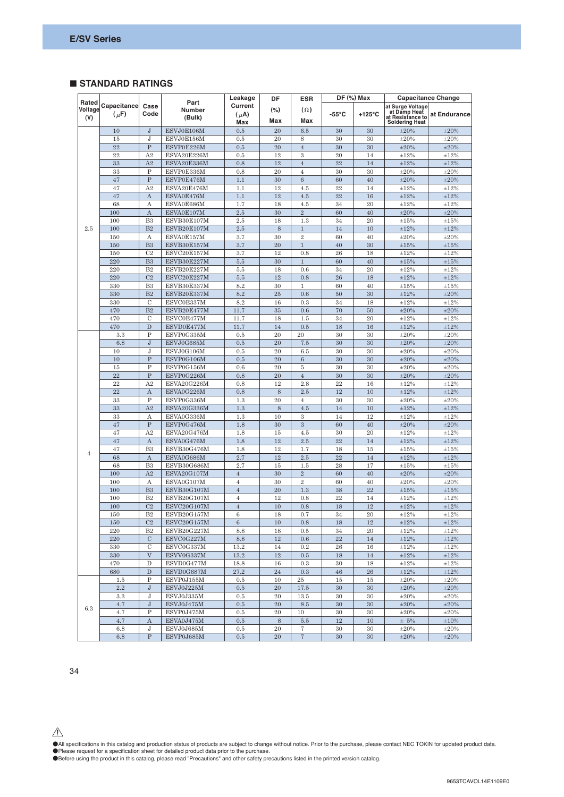## - **STANDARD RATINGS**

|                         |                          |                              | Leakage                         | DF                          | <b>ESR</b>  |                     | $DF$ (%) Max    | <b>Capacitance Change</b> |                                                                               |                          |
|-------------------------|--------------------------|------------------------------|---------------------------------|-----------------------------|-------------|---------------------|-----------------|---------------------------|-------------------------------------------------------------------------------|--------------------------|
| Rated<br>Voltage<br>(V) | Capacitance<br>$(\mu$ F) | Case<br>Code                 | Part<br><b>Number</b><br>(Bulk) | Current<br>$(\mu A)$<br>Max | (%)<br>Max  | $(\Omega)$<br>Max   | $-55^{\circ}$ C | $+125^{\circ}$ C          | at Surge Voltage<br>at Damp Heat<br>at Resistance to<br><b>Soldering Heat</b> | at Endurance             |
|                         | 10                       | $\bf J$                      | ESVJ0E106M                      | 0.5                         | 20          | 6.5                 | 30              | 30                        | $\pm 20\%$                                                                    | $\pm 20\%$               |
|                         | 15                       | J                            | ESVJ0E156M                      | 0.5                         | 20          | 8                   | 30              | 30                        | $\pm 20\%$                                                                    | $\pm 20\%$               |
|                         | 22                       | ${\bf P}$                    | ESVP0E226M                      | 0.5                         | 20          | $\sqrt{4}$          | 30              | 30                        | $\pm 20\%$                                                                    | $\pm 20\%$               |
|                         | 22                       | A2                           | ESVA20E226M                     | 0.5                         | 12          | 3                   | 20              | 14                        | ±12%                                                                          | $\pm 12\%$               |
|                         | 33                       | A2                           | ESVA20E336M                     | 0.8                         | 12          | $\overline{4}$      | $22\,$          | 14                        | $\pm 12\%$                                                                    | $\pm 12\%$               |
|                         | 33                       | P                            | ESVP0E336M                      | 0.8                         | 20          | $\overline{4}$      | 30              | 30                        | $\pm 20\%$                                                                    | $\pm 20\%$               |
|                         | 47                       | $\overline{P}$               | ESVP0E476M                      | 1.1                         | 30          | $\overline{6}$      | 60              | 40                        | $\pm 20\%$                                                                    | $\pm 20\%$               |
|                         | 47                       | A2                           | ESVA20E476M                     | 1.1                         | 12          | 4.5                 | 22              | 14                        | ±12%                                                                          | $\pm 12\%$               |
|                         | 47                       | $\mathbf{A}$                 | ESVA0E476M                      | 1.1                         | 12          | 4.5                 | 22              | 16                        | $\pm 12\%$                                                                    | $\pm 12\%$               |
|                         | 68                       | A                            | ESVA0E686M                      | 1.7                         | 18          | 4.5                 | 34              | 20                        | $\pm 12\%$                                                                    | $\pm 12\%$               |
|                         | 100                      | $\boldsymbol{A}$             | ESVA0E107M                      | 2.5                         | 30          | $\overline{2}$      | 60              | 40                        | $\pm 20\%$                                                                    | $\pm 20\%$               |
|                         | 100                      | B <sub>3</sub>               | ESVB30E107M                     | 2.5                         | 18          | 1.3                 | 34              | 20                        | ±15%                                                                          | $\pm 15\%$               |
| 2.5                     | 100                      | B <sub>2</sub>               | ESVB20E107M                     | 2.5                         | 8           | $1\,$               | 14              | 10                        | $\pm 12\%$                                                                    | $\pm 12\%$               |
|                         | 150                      | А                            | ESVA0E157M                      | 3.7                         | 30          | $\,2$               | 60              | 40                        | $\pm 20\%$                                                                    | $\pm 20\%$               |
|                         | 150                      | B <sub>3</sub>               | ESVB30E157M                     | 3.7                         | 20          | $\,1\,$             | 40              | 30                        | $\pm 15\%$                                                                    | $\pm 15\%$               |
|                         | 150                      | C <sub>2</sub>               | ESVC20E157M                     | 3.7                         | 12          | 0.8                 | 26              | 18                        | ±12%                                                                          | ±12%                     |
|                         | 220                      | B <sub>3</sub>               | ESVB30E227M                     | 5.5                         | 30          | $\,1$               | 60              | 40                        | $\pm 15\%$                                                                    | $\pm 15\%$               |
|                         | 220                      | B <sub>2</sub>               | ESVB20E227M                     | 5.5                         | 18          | 0.6                 | 34              | 20                        | $\pm 12\%$                                                                    | $\pm 12\%$               |
|                         | 220                      | C <sub>2</sub>               | ESVC20E227M                     | 5.5                         | 12          | 0.8                 | 26              | 18                        | $\pm 12\%$                                                                    | $\pm 12\%$               |
|                         | 330                      | B <sub>3</sub>               | ESVB30E337M                     | 8.2                         | 30          | $\mathbf{1}$        | 60              | 40                        | ±15%                                                                          | $\pm 15\%$               |
|                         | 330                      | B <sub>2</sub>               | ESVB20E337M                     | 8.2                         | 25          | 0.6                 | 50              | 30                        | $\pm 12\%$                                                                    | $\pm 20\%$               |
|                         | 330                      | $\mathcal{C}$                | ESVC0E337M                      | 8.2                         | 16          | 0.3                 | 34              | 18                        | $\pm 12\%$                                                                    | $\pm 12\%$               |
|                         | 470                      | B <sub>2</sub>               | ESVB20E477M                     | 11.7                        | 35          | 0.6                 | 70              | 50                        | $\pm 20\%$                                                                    | $\pm 20\%$               |
|                         | 470                      | $\overline{C}$               | ESVC0E477M                      | 11.7                        | 18          | 1.5                 | 34              | 20                        | ±12%                                                                          | $\pm 12\%$               |
|                         | 470                      | $\mathbf D$                  | ESVD0E477M                      | 11.7                        | 14          | 0.5                 | 18              | 16                        | $\pm 12\%$                                                                    | $\pm 12\%$               |
|                         | 3.3                      | P                            | ESVP0G335M                      | 0.5                         | 20          | 20                  | 30              | 30                        | $\pm 20\%$                                                                    | $\pm 20\%$               |
|                         | 6.8                      | ${\bf J}$                    | ESVJ0G685M                      | 0.5                         | 20          | 7.5                 | 30              | 30                        | $\pm 20\%$                                                                    | $\pm 20\%$               |
|                         | 10                       | J                            | ESVJ0G106M                      | 0.5                         | 20          | 6.5                 | 30              | 30                        | $\pm 20\%$                                                                    | $\pm 20\%$               |
|                         | 10                       | $\overline{P}$               | ESVP0G106M                      | 0.5                         | 20          | $\,6\,$             | 30              | 30                        | $\pm 20\%$                                                                    | $\pm 20\%$               |
|                         | 15                       | P                            | ESVP0G156M                      | 0.6                         | 20          | $\rm 5$             | 30              | 30                        | $\pm 20\%$                                                                    | $\pm 20\%$               |
|                         | 22                       | $\overline{P}$               | ESVP0G226M                      | 0.8                         | 20          | $\sqrt{4}$          | 30              | 30                        | $\pm 20\%$                                                                    | $\pm 20\%$               |
|                         | 22                       | A <sub>2</sub>               | ESVA20G226M                     | 0.8                         | 12          | 2.8                 | 22              | 16                        | ±12%                                                                          | ±12%                     |
|                         | 22                       | $\mathbf{A}$                 | ESVA0G226M                      | 0.8                         | 8           | 2.5                 | 12              | 10                        | $\pm 12\%$                                                                    | $\pm 12\%$               |
|                         | 33                       | P                            | ESVP0G336M                      | 1.3                         | 20          | $\overline{4}$      | 30              | 30                        | $\pm 20\%$                                                                    | $\pm 20\%$               |
|                         | 33                       | A2                           | ESVA20G336M                     | 1.3                         | $\,$ 8 $\,$ | 4.5                 | 14              | 10                        | $\pm 12\%$                                                                    | $\pm 12\%$               |
|                         | 33                       | $\mathbf{A}$<br>$\mathbf{P}$ | ESVA0G336M                      | 1.3                         | 10          | 3<br>$\overline{3}$ | 14              | 12                        | ±12%                                                                          | $\pm 12\%$               |
|                         | 47                       | A2                           | ESVP0G476M                      | 1.8                         | 30          |                     | 60              | 40                        | $\pm 20\%$                                                                    | $\pm 20\%$               |
|                         | 47<br>47                 | $\mathbf{A}$                 | ESVA20G476M<br>ESVA0G476M       | 1.8<br>1.8                  | 15<br>12    | 4.5<br>2.5          | 30<br>22        | 20<br>14                  | $\pm 12\%$<br>±12%                                                            | $\pm 12\%$<br>$\pm 12\%$ |
|                         | 47                       | B <sub>3</sub>               | ESVB30G476M                     | 1.8                         | 12          | 1.7                 | 18              | 15                        | ±15%                                                                          | ±15%                     |
| $\overline{4}$          | 68                       | $\mathbf{A}$                 | ESVA0G686M                      | 2.7                         | 12          | 2.5                 | 22              | 14                        | $\pm 12\%$                                                                    | $\pm 12\%$               |
|                         | 68                       | B <sub>3</sub>               | ESVB30G686M                     | 2.7                         | 15          | 1.5                 | 28              | 17                        | $\pm 15\%$                                                                    | $\pm 15\%$               |
|                         | 100                      | A2                           | ESVA20G107M                     | $\sqrt{4}$                  | 30          | $\,2$               | 60              | 40                        | $\pm 20\%$                                                                    | $\pm 20\%$               |
|                         | 100                      | $\mathbf{A}$                 | ESVA0G107M                      | $\overline{4}$              | 30          | $\overline{2}$      | 60              | 40                        | $\pm 20\%$                                                                    | $\pm 20\%$               |
|                         | 100                      | B <sub>3</sub>               | ESVB30G107M                     | $\overline{4}$              | 20          | 1.3                 | 38              | 22                        | $\pm 15\%$                                                                    | $\pm 15\%$               |
|                         | 100                      | B <sub>2</sub>               | ESVB20G107M                     | $\overline{4}$              | 12          | 0.8                 | 22              | 14                        | $\pm 12\%$                                                                    | $\pm 12\%$               |
|                         | 100                      | C <sub>2</sub>               | ESVC20G107M                     | $\overline{4}$              | 10          | 0.8                 | 18              | 12                        | $\pm 12\%$                                                                    | $\pm 12\%$               |
|                         | 150                      | B <sub>2</sub>               | ESVB20G157M                     | 6                           | 18          | 0.7                 | 34              | 20                        | $\pm 12\%$                                                                    | $\pm 12 \%$              |
|                         | 150                      | C <sub>2</sub>               | ESVC20G157M                     | $6\phantom{.}6$             | 10          | 0.8                 | 18              | 12                        | $\pm 12\%$                                                                    | $\pm 12\%$               |
|                         | 220                      | B <sub>2</sub>               | ESVB20G227M                     | 8.8                         | 18          | 0.5                 | 34              | 20                        | $\pm 12\%$                                                                    | $\pm 12\%$               |
|                         | 220                      | $\mathbf C$                  | ESVC0G227M                      | 8.8                         | 12          | 0.6                 | $22\,$          | 14                        | $\pm 12\%$                                                                    | $\pm 12\%$               |
|                         | 330                      | C                            | ESVC0G337M                      | 13.2                        | 14          | 0.2                 | 26              | 16                        | $\pm 12\%$                                                                    | $\pm 12\%$               |
|                         | 330                      | $\ensuremath{\text{V}}$      | ESVV0G337M                      | 13.2                        | $12\,$      | $\rm 0.5$           | $18\,$          | 14                        | $\pm 12\%$                                                                    | $\pm 12\%$               |
|                         | 470                      | $\mathbf D$                  | ESVD0G477M                      | 18.8                        | 16          | 0.3                 | 30              | 18                        | $\pm 12\%$                                                                    | $\pm 12\%$               |
|                         | 680                      | ${\bf D}$                    | ESVD0G687M                      | 27.2                        | 24          | 0.3                 | 46              | ${\bf 26}$                | $\pm 12\%$                                                                    | $\pm 12\%$               |
|                         | $1.5\,$                  | $\, {\bf P}$                 | ESVP0J155M                      | 0.5                         | 10          | $25\,$              | 15              | 15                        | $\pm 20\%$                                                                    | $\pm 20\%$               |
|                         | $2.2\,$                  | ${\bf J}$                    | ESVJ0J225M                      | 0.5                         | 20          | 17.5                | 30              | 30                        | $\pm 20\%$                                                                    | $\pm 20\%$               |
|                         | 3.3                      | J                            | ESVJ0J335M                      | 0.5                         | 20          | 13.5                | 30              | 30                        | $\pm 20\%$                                                                    | $\pm 20\%$               |
|                         | 4.7                      | $\bf J$                      | ESVJ0J475M                      | 0.5                         | 20          | 8.5                 | 30              | 30                        | $\pm 20\%$                                                                    | $\pm 20\%$               |
| 6.3                     | 4.7                      | $\, {\bf P}$                 | ESVP0J475M                      | 0.5                         | 20          | 10                  | 30              | 30                        | $\pm 20\%$                                                                    | $\pm 20\%$               |
|                         | 4.7                      | $\boldsymbol{\mathrm{A}}$    | ESVA0J475M                      | 0.5                         | 8           | $5.5\,$             | 12              | 10                        | $\pm 5\%$                                                                     | $\pm 10\%$               |
|                         | 6.8                      | J                            | ESVJ0J685M                      | 0.5                         | 20          | 7                   | 30              | 30                        | $\pm 20\%$                                                                    | $\pm 20\%$               |
|                         | 6.8                      | ${\bf P}$                    | ESVP0J685M                      | $0.5\,$                     | 20          | $7\phantom{.}$      | 30              | 30                        | $\pm 20\%$                                                                    | $\pm 20\%$               |

 $\triangle$ 

●All specifications in this catalog and production status of products are subject to change without notice. Prior to the purchase, please contact NEC TOKIN for updated product data.

●Please request for a specification sheet for detailed product data prior to the purchase.<br>●Before using the product in this catalog, please read "Precautions" and other safety precautions listed in the printed version ca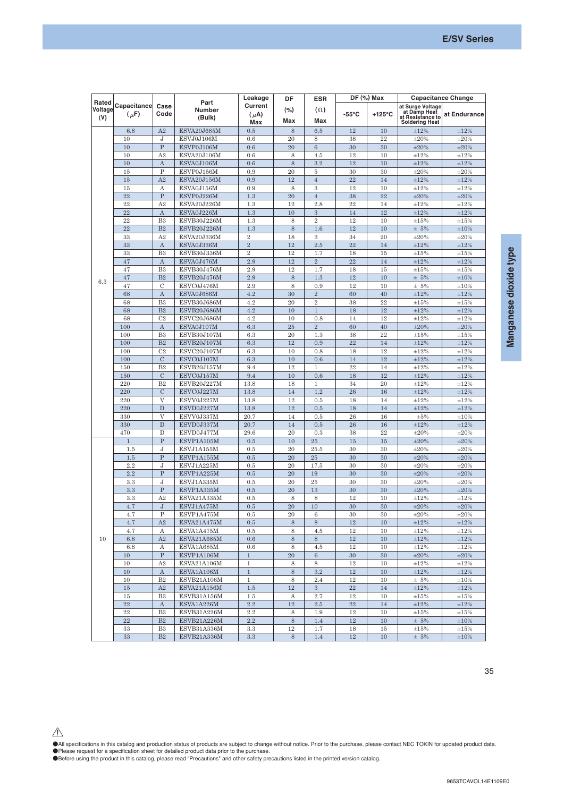|                         |                          |                  |                          | Leakage                     | DF             | $DF$ (%) Max<br><b>ESR</b> |                 |                  | <b>Capacitance Change</b>                                                     |              |  |
|-------------------------|--------------------------|------------------|--------------------------|-----------------------------|----------------|----------------------------|-----------------|------------------|-------------------------------------------------------------------------------|--------------|--|
| Rated<br>Voltage<br>(V) | Capacitance<br>$(\mu$ F) | Case<br>Code     | Part<br>Number<br>(Bulk) | Current<br>$(\mu A)$<br>Max | $(\% )$<br>Max | $(\Omega)$<br>Max          | $-55^{\circ}$ C | $+125^{\circ}$ C | at Surge Voltage<br>at Damp Heat<br>at Resistance to<br><b>Soldering Heat</b> | at Endurance |  |
|                         | 6.8                      | A2               | ESVA20J685M              | 0.5                         | 8              | 6.5                        | 12              | 10               | $\pm 12\%$                                                                    | $\pm 12\%$   |  |
|                         | 10                       | J                | ESVJ0J106M               | 0.6                         | 20             | 8                          | 38              | 22               | $\pm 20\%$                                                                    | $\pm 20\%$   |  |
|                         | 10                       | $\mathbf P$      | ESVP0J106M               | 0.6                         | 20             | $6\phantom{1}6$            | 30              | 30               | $\pm 20\%$                                                                    | $\pm 20\%$   |  |
|                         | 10                       | A2               | ESVA20J106M              | 0.6                         | 8              | 4.5                        | 12              | 10               | $\pm 12 \%$                                                                   | $\pm 12\%$   |  |
|                         | 10                       | A                | ESVA0J106M               | 0.6                         | $\,$ 8 $\,$    | 3.2                        | 12              | 10               | $\pm 12\%$                                                                    | $\pm 12\%$   |  |
|                         | 15                       | $\, {\bf P}$     | ESVP0J156M               | 0.9                         | 20             | $\overline{5}$             | 30              | 30               | $\pm 20\%$                                                                    | $\pm 20\%$   |  |
|                         | 15                       | A2               | ESVA20J156M              | 0.9                         | 12             | $\overline{4}$             | $22\,$          | 14               | $\pm 12\%$                                                                    | $\pm 12\%$   |  |
|                         | 15                       | А                | ESVA0J156M               | 0.9                         | 8              | $\,3\,$                    | 12              | 10               | $\pm 12 \%$                                                                   | $\pm 12\%$   |  |
|                         | 22                       | $\mathbf P$      | ESVP0J226M               | 1.3                         | 20             | $\sqrt{4}$                 | 38              | 22               | $\pm 20\%$                                                                    | $\pm 20\%$   |  |
|                         | 22                       | A2               | ESVA20J226M              | 1.3                         | 12             | 2.8                        | 22              | 14               | $\pm 12 \%$                                                                   | $\pm 12\%$   |  |
|                         | 22                       | $\boldsymbol{A}$ | ESVA0J226M               | 1.3                         | 10             | $\sqrt{3}$                 | 14              | 12               | $\pm 12\%$                                                                    | $\pm 12\%$   |  |
|                         | 22                       | B <sub>3</sub>   | ESVB30J226M              | 1.3                         | 8              | $\overline{2}$             | 12              | 10               | $\pm 15\%$                                                                    | $\pm 15%$    |  |
|                         | 22                       | B <sub>2</sub>   | ESVB20J226M              | 1.3                         | $\,$ 8 $\,$    | 1.6                        | 12              | 10               | $± 5\%$                                                                       | $\pm 10\%$   |  |
|                         | 33                       | A2               | ESVA20J336M              | $\overline{2}$              | 18             | $\,3$                      | 34              | 20               | $\pm 20\%$                                                                    | $\pm 20\%$   |  |
|                         | 33                       | $\mathbf{A}$     | ESVA0J336M               | $\sqrt{2}$                  | 12             | 2.5                        | 22              | 14               | $\pm 12\%$                                                                    | $\pm 12\%$   |  |
|                         | 33                       | B <sub>3</sub>   | ESVB30J336M              | $\sqrt{2}$                  | 12             | 1.7                        | 18              | 15               | $\pm 15\%$                                                                    | $\pm 15\%$   |  |
|                         | 47                       | $\mathbf{A}$     | ESVA0J476M               | 2.9                         | 12             | $\overline{2}$             | 22              | 14               | $\pm 12\%$                                                                    | $\pm 12\%$   |  |
|                         | 47                       | B <sub>3</sub>   | ESVB30J476M              | 2.9                         | 12             | 1.7                        | 18              | 15               | $\pm 15\%$                                                                    | $\pm 15%$    |  |
|                         | 47                       | B <sub>2</sub>   | ESVB20J476M              | 2.9                         | $\,$ 8 $\,$    | 1.3                        | 12              | 10               | $± 5\%$                                                                       | $\pm 10\%$   |  |
| 6.3                     | 47                       | $\mathcal{C}$    | ESVC0J476M               | 2.9                         | 8              | 0.9                        | 12              | 10               | $± 5\%$                                                                       | $\pm 10\%$   |  |
|                         | 68                       | $\rm A$          | ESVA0J686M               | 4.2                         | 30             | $\sqrt{2}$                 | 60              | 40               | $\pm 12 \%$                                                                   | $\pm 12\%$   |  |
|                         | 68                       | B <sub>3</sub>   | ESVB30J686M              | 4.2                         | 20             | $\overline{2}$             | 38              | 22               | $\pm 15\%$                                                                    | $\pm 15\%$   |  |
|                         | 68                       | B <sub>2</sub>   | ESVB20J686M              | 4.2                         | 10             | $\,1\,$                    | 18              | 12               | $\pm 12\%$                                                                    | $\pm 12\%$   |  |
|                         | 68                       | C <sub>2</sub>   | ESVC20J686M              | 4.2                         | 10             | 0.8                        | 14              | 12               | $\pm 12\%$                                                                    | $\pm 12 \%$  |  |
|                         | 100                      | $\boldsymbol{A}$ | ESVA0J107M               | 6.3                         | 25             | $\sqrt{2}$                 | 60              | 40               | $\pm 20\%$                                                                    |              |  |
|                         |                          | B <sub>3</sub>   |                          |                             | 20             |                            |                 | 22               |                                                                               | $\pm 20\%$   |  |
|                         | 100                      |                  | ESVB30J107M              | 6.3                         |                | 1.3                        | 38              |                  | $\pm 15\%$                                                                    | $\pm 15\%$   |  |
|                         | 100                      | B <sub>2</sub>   | ESVB20J107M              | 6.3                         | 12             | 0.9                        | $\bf{22}$       | 14               | $\pm 12\%$                                                                    | $\pm 12\%$   |  |
|                         | 100                      | C <sub>2</sub>   | ESVC20J107M              | 6.3                         | 10             | 0.8                        | 18              | 12               | $\pm 12\%$                                                                    | $\pm 12\%$   |  |
|                         | 100                      | $\mathbf C$      | ESVC0J107M               | 6.3                         | 10             | 0.6                        | 14              | 12               | $\pm 12\%$                                                                    | $\pm 12 \%$  |  |
|                         | 150                      | B <sub>2</sub>   | ESVB20J157M              | 9.4                         | 12             | $\mathbf{1}$               | 22              | 14               | $\pm 12\%$                                                                    | $\pm 12\%$   |  |
|                         | 150                      | $\mathcal C$     | ESVC0J157M               | 9.4                         | 10             | 0.6                        | 18              | 12               | $\pm 12 \%$                                                                   | $\pm 12 \%$  |  |
|                         | 220                      | B <sub>2</sub>   | ESVB20J227M              | 13.8                        | 18             | $\mathbf{1}$               | 34              | 20               | $\pm 12\%$                                                                    | $\pm 12\%$   |  |
|                         | 220                      | $\mathcal C$     | ESVC0J227M               | 13.8                        | 14             | 1.2                        | 26              | 16               | $\pm 12\%$                                                                    | $\pm 12\%$   |  |
|                         | 220                      | $\overline{V}$   | ESVV0J227M               | 13.8                        | 12             | 0.5                        | 18              | 14               | $\pm 12\%$                                                                    | $\pm 12\%$   |  |
|                         | 220                      | D                | ESVD0J227M               | 13.8                        | 12             | 0.5                        | 18              | 14               | $\pm 12 \%$                                                                   | $\pm 12\%$   |  |
|                         | 330                      | $\mathbf{V}$     | ESVV0J337M               | 20.7                        | 14             | 0.5                        | 26              | 16               | $\pm 5\%$                                                                     | $\pm 10\%$   |  |
|                         | 330                      | D                | ESVD0J337M               | 20.7                        | 14             | 0.5                        | 26              | 16               | $\pm 12\%$                                                                    | $\pm 12 \%$  |  |
|                         | 470                      | D                | ESVD0J477M               | 29.6                        | 20             | 0.3                        | 38              | 22               | $\pm 20\%$                                                                    | $\pm 20\%$   |  |
|                         | $\mathbf{1}$             | $\mathbf P$      | ESVP1A105M               | 0.5                         | 10             | 25                         | $15\,$          | $15\,$           | $\pm 20\%$                                                                    | $\pm 20\%$   |  |
|                         | 1.5                      | J                | ESVJ1A155M               | 0.5                         | 20             | 25.5                       | 30              | 30               | $\pm 20\%$                                                                    | $\pm 20\%$   |  |
|                         | 1.5                      | $\mathbf P$      | ESVP1A155M               | 0.5                         | 20             | 25                         | 30              | 30               | $\pm 20\%$                                                                    | $\pm 20\%$   |  |
|                         | 2.2                      | J                | ESVJ1A225M               | 0.5                         | 20             | 17.5                       | 30              | 30               | $\pm 20\%$                                                                    | $\pm 20\%$   |  |
|                         | 2.2                      | ${\bf P}$        | ESVP1A225M               | 0.5                         | 20             | 19                         | 30              | 30               | $\pm 20\%$                                                                    | $\pm 20\%$   |  |
|                         | 3.3                      | J                | ESVJ1A335M               | 0.5                         | 20             | 25                         | 30              | 30               | $\pm 20\%$                                                                    | $\pm 20\%$   |  |
|                         | 3.3                      | ${\bf P}$        | ESVP1A335M               | 0.5                         | 20             | 13                         | 30              | 30               | $\pm 20\%$                                                                    | $\pm 20\%$   |  |
|                         | 3.3                      | A <sub>2</sub>   | ESVA21A335M              | 0.5                         | 8              | 8                          | 12              | 10               | $\pm 12\%$                                                                    | $\pm 12\%$   |  |
|                         | 4.7                      | J                | ESVJ1A475M               | 0.5                         | 20             | 10                         | 30              | 30               | $\pm 20\%$                                                                    | $\pm 20\%$   |  |
|                         | 4.7                      | P                | ESVP1A475M               | 0.5                         | 20             | $\boldsymbol{6}$           | 30              | 30               | $\pm 20\%$                                                                    | $\pm 20\%$   |  |
|                         | 4.7                      | A2               | ESVA21A475M              | 0.5                         | 8              | 8                          | 12              | 10               | $\pm 12\%$                                                                    | $\pm 12\%$   |  |
|                         | 4.7                      | А                | ESVA1A475M               | 0.5                         | 8              | 4.5                        | 12              | 10               | $\pm 12\%$                                                                    | $\pm 12\%$   |  |
| 10                      | 6.8                      | A2               | ESVA21A685M              | 0.6                         | 8              | 8                          | $12\,$          | 10               | $\pm 12 \%$                                                                   | $\pm 12\%$   |  |
|                         | 6.8                      | А                | ESVA1A685M               | 0.6                         | 8              | 4.5                        | 12              | 10               | $\pm 12\%$                                                                    | $\pm 12 \%$  |  |
|                         | 10                       | $\, {\bf P}$     | ESVP1A106M               | $\mathbf{1}$                | 20             | $6\phantom{.}6$            | 30              | 30               | $\pm 20\%$                                                                    | $\pm 20\%$   |  |
|                         | 10                       | A2               | ESVA21A106M              | $\mathbf 1$                 | 8              | 8                          | 12              | 10               | $\pm 12\%$                                                                    | $\pm 12\%$   |  |
|                         | $10\,$                   | A                | ESVA1A106M               | $\mathbf{1}$                | $\,$ 8 $\,$    | $3.2\phantom{0}$           | $12\,$          | 10               | $\pm 12\%$                                                                    | $\pm 12\%$   |  |
|                         | 10                       | B2               | ESVB21A106M              | $\mathbf{1}$                | 8              | 2.4                        | 12              | 10               | $\pm 5\%$                                                                     | $\pm 10\%$   |  |
|                         | $15\,$                   | A2               | ESVA21A156M              | $1.5\,$                     | 12             | $3 -$                      | 22              | 14               | $\pm 12\%$                                                                    | $\pm 12\%$   |  |
|                         | 15                       | B <sub>3</sub>   | ESVB31A156M              | 1.5                         | 8              | 2.7                        | 12              | 10               | $\pm 15\%$                                                                    | $\pm 15\%$   |  |
|                         | 22                       | $\boldsymbol{A}$ | ESVA1A226M               | $2.2\,$                     | $12\,$         | 2.5                        | 22              | 14               | $\pm 12 \%$                                                                   | $\pm 12\%$   |  |
|                         | 22                       | B <sub>3</sub>   | ESVB31A226M              | 2.2                         | 8              | 1.9                        | 12              | 10               | $\pm 15\%$                                                                    | $\pm 15\%$   |  |
|                         | $22\,$                   | $\rm B2$         | ESVB21A226M              | $2.2\,$                     | 8              | 1.4                        | 12              | 10               | $\pm 5\%$                                                                     | $\pm 10\%$   |  |
|                         | 33                       | B <sub>3</sub>   | ESVB31A336M              | 3.3                         | 12             | 1.7                        | 18              | 15               | $\pm 15\%$                                                                    | ±15%         |  |
|                         | $33\,$                   | $\mathbf{B}2$    | ESVB21A336M              | $3.3\,$                     | $8\,$          | $1.4\,$                    | $12\,$          | $10\,$           | $± 5\%$                                                                       | $\pm 10\%$   |  |

●All specifications in this catalog and production status of products are subject to change without notice. Prior to the purchase, please contact NEC TOKIN for updated product data.<br>●Please request for a specification she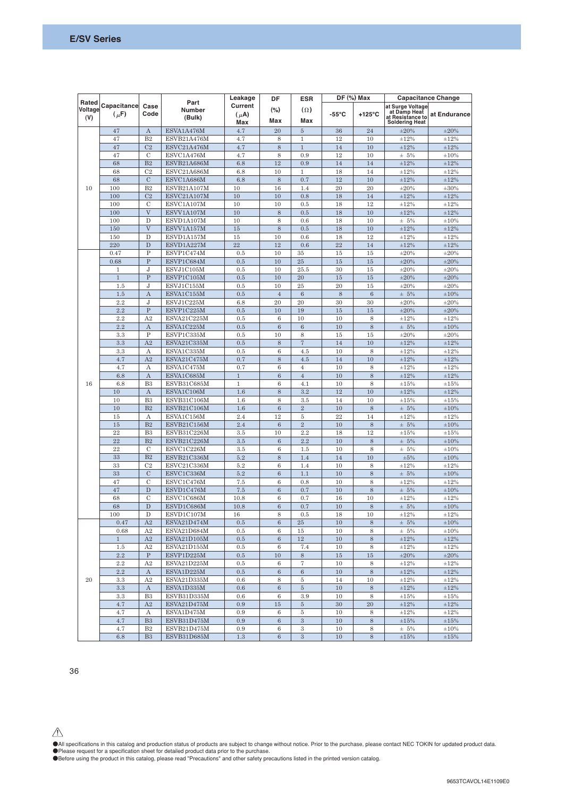|                         |                          |                     |                                 | Leakage                     | DF               | $DF$ (%) Max<br><b>ESR</b> |       |                  | <b>Capacitance Change</b>                                                     |                    |  |
|-------------------------|--------------------------|---------------------|---------------------------------|-----------------------------|------------------|----------------------------|-------|------------------|-------------------------------------------------------------------------------|--------------------|--|
| Rated<br>Voltage<br>(V) | Capacitance<br>$(\mu$ F) | Case<br>Code        | Part<br><b>Number</b><br>(Bulk) | Current<br>$(\mu A)$<br>Max | $(\% )$<br>Max   | $(\Omega)$<br>Max          | -55°C | $+125^{\circ}$ C | at Surge Voltage<br>at Damp Heat<br>at Resistance to<br><b>Soldering Heat</b> | at Endurance       |  |
|                         | 47                       | $\mathbf{A}$        | ESVA1A476M                      | 4.7                         | 20               | $\rm 5$                    | 36    | 24               | $\pm 20\%$                                                                    | $\pm 20\%$         |  |
|                         | 47                       | B <sub>2</sub>      | ESVB21A476M                     | 4.7                         | 8                | $1\,$                      | 12    | 10               | $\pm 12 \%$                                                                   | $\pm 12\%$         |  |
|                         | 47                       | C <sub>2</sub>      | ESVC21A476M                     | 4.7                         | 8                | $\overline{1}$             | 14    | 10               | $\pm 12\%$                                                                    | $\pm 12\%$         |  |
|                         | 47                       | $\mathcal{C}$       | ESVC1A476M                      | 4.7                         | 8                | 0.9                        | 12    | 10               | $± 5\%$                                                                       | $\pm 10\%$         |  |
|                         | 68                       | B <sub>2</sub>      | ESVB21A686M                     | 6.8                         | 12               | 0.9                        | 14    | 14               | $\pm 12\%$                                                                    | $\pm 12\%$         |  |
|                         | 68                       | C <sub>2</sub>      | ESVC21A686M                     | 6.8                         | 10               | $\mathbf{1}$               | 18    | 14               | $\pm 12\%$                                                                    | $\pm 12\%$         |  |
|                         | 68                       | $\mathcal{C}$       | ESVC1A686M                      | 6.8                         | 8                | 0.7                        | 12    | 10               | $\pm 12\%$                                                                    | $\pm 12\%$         |  |
| 10                      | 100                      | B <sub>2</sub>      | ESVB21A107M                     | 10                          | 16               | 1.4                        | 20    | 20               | $\pm 20\%$                                                                    | $\pm 30\%$         |  |
|                         | 100                      | C <sub>2</sub>      | ESVC21A107M                     | 10                          | 10               | 0.8                        | 18    | 14               | $\pm 12\%$                                                                    | $\pm 12\%$         |  |
|                         | 100                      | $\mathcal{C}$       | ESVC1A107M                      | 10                          | 10               | 0.5                        | 18    | 12               | $\pm 12\%$                                                                    | $\pm 12\%$         |  |
|                         | 100                      | $\overline{V}$      | ESVV1A107M                      | 10                          | 8                | 0.5                        | 18    | 10               | $\pm 12\%$                                                                    | $\pm 12\%$         |  |
|                         | 100                      | D                   | ESVD1A107M                      | 10                          | 8                | 0.6                        | 18    | 10               | $± 5\%$                                                                       | ±10%               |  |
|                         | 150                      | V                   | ESVV1A157M                      | 15                          | 8                | 0.5                        | 18    | 10               | $\pm 12\%$                                                                    | $\pm 12\%$         |  |
|                         | 150                      | D                   | ESVD1A157M                      | 15                          | 10               | 0.6                        | 18    | 12               | $\pm 12\%$                                                                    | $\pm 12\%$         |  |
|                         | 220                      | D                   | ESVD1A227M                      | 22                          | 12               | 0.6                        | 22    | 14               | $\pm 12\%$                                                                    | $\pm 12\%$         |  |
|                         | 0.47                     | $\mathbf{P}$        | ESVP1C474M                      | 0.5                         | 10               | 35                         | 15    | 15               | $\pm 20\%$                                                                    | $\pm 20\%$         |  |
|                         | 0.68                     | $\overline{P}$      | ESVP1C684M                      | 0.5                         | 10               | 25                         | 15    | $15\,$           | $\pm 20\%$                                                                    | $\pm 20\%$         |  |
|                         | $\mathbf{1}$             | J                   | ESVJ1C105M                      | 0.5                         | 10               | 25.5                       | 30    | 15               | $\pm 20\%$                                                                    | $\pm 20\%$         |  |
|                         | $\,1$                    | $\mathbf P$         | ESVP1C105M                      | 0.5                         | 10               | 20                         | 15    | 15               | $\pm 20\%$                                                                    | $\pm 20\%$         |  |
|                         | 1.5                      | J                   | ESVJ1C155M                      | 0.5                         | 10               | 25                         | 20    | 15               | $\pm 20\%$                                                                    | $\pm 20\%$         |  |
|                         |                          | A                   | ESVA1C155M                      | 0.5                         |                  | $\,6\,$                    | 8     | $\,6$            |                                                                               |                    |  |
|                         | 1.5                      |                     |                                 |                             | $\overline{4}$   |                            |       |                  | $± 5\%$                                                                       | $\pm 10\%$         |  |
|                         | 2.2                      | J<br>$\overline{P}$ | ESVJ1C225M                      | 6.8                         | 20               | 20                         | 30    | 30               | $\pm 20\%$                                                                    | $\pm 20\%$         |  |
|                         | 2.2                      |                     | ESVP1C225M                      | 0.5                         | 10               | 19                         | 15    | 15               | $\pm 20\%$<br>±12%                                                            | $\pm 20\%$<br>±12% |  |
|                         | 2.2                      | A2                  | ESVA21C225M                     | 0.5                         | 6                | 10                         | 10    | 8                |                                                                               |                    |  |
|                         | 2.2                      | $\mathbf{A}$        | ESVA1C225M                      | 0.5                         | $\boldsymbol{6}$ | $\,6\,$                    | 10    | 8                | $± 5\%$                                                                       | $\pm 10\%$         |  |
|                         | 3.3                      | P                   | ESVP1C335M                      | 0.5                         | 10               | 8                          | 15    | 15               | $\pm 20\%$                                                                    | $\pm 20\%$         |  |
|                         | 3.3                      | A2                  | ESVA21C335M                     | 0.5                         | 8                | $\overline{7}$             | 14    | 10               | $\pm 12\%$                                                                    | $\pm 12\%$         |  |
|                         | 3.3                      | $\mathbf{A}$        | ESVA1C335M                      | 0.5                         | 6                | 4.5                        | 10    | 8                | ±12%                                                                          | $\pm 12\%$         |  |
|                         | 4.7                      | A2                  | ESVA21C475M                     | 0.7                         | 8                | 4.5                        | 14    | 10               | $\pm 12\%$                                                                    | $\pm 12\%$         |  |
|                         | 4.7                      | A                   | ESVA1C475M                      | 0.7                         | 6                | $\overline{4}$             | 10    | 8                | $\pm 12\%$                                                                    | $\pm 12\%$         |  |
|                         | 6.8                      | $\boldsymbol{A}$    | ESVA1C685M                      | $1\,$                       | $\,6$            | $\overline{4}$             | 10    | 8                | $\pm 12\%$                                                                    | $\pm 12\%$         |  |
| 16                      | 6.8                      | B <sub>3</sub>      | ESVB31C685M                     | $\mathbf{1}$                | $\boldsymbol{6}$ | 4.1                        | 10    | 8                | $\pm 15\%$                                                                    | ±15%               |  |
|                         | 10                       | $\mathbf{A}$        | ESVA1C106M                      | 1.6                         | $\,$ 8 $\,$      | 3.2                        | 12    | 10               | $\pm 12\%$                                                                    | $\pm 12 \%$        |  |
|                         | 10                       | B <sub>3</sub>      | ESVB31C106M                     | 1.6                         | 8                | 3.5                        | 14    | 10               | $\pm 15\%$                                                                    | $\pm 15\%$         |  |
|                         | 10                       | B <sub>2</sub>      | ESVB21C106M                     | 1.6                         | $\boldsymbol{6}$ | $\overline{2}$             | 10    | 8                | $± 5\%$                                                                       | $\pm 10\%$         |  |
|                         | 15                       | $\mathbf{A}$        | ESVA1C156M                      | 2.4                         | 12               | 5                          | 22    | 14               | $\pm 12\%$                                                                    | $\pm 12\%$         |  |
|                         | 15                       | B2                  | ESVB21C156M                     | 2.4                         | $\boldsymbol{6}$ | $\overline{2}$             | 10    | 8                | $± 5\%$                                                                       | $\pm 10\%$         |  |
|                         | 22                       | B <sub>3</sub>      | ESVB31C226M                     | 3.5                         | 10               | 2.2                        | 18    | 12               | $\pm 15 \%$                                                                   | ±15%               |  |
|                         | 22                       | B <sub>2</sub>      | ESVB21C226M                     | 3.5                         | $\,6\,$          | 2.2                        | 10    | 8                | $\pm$ 5%                                                                      | $\pm 10\%$         |  |
|                         | 22                       | $\overline{C}$      | ESVC1C226M                      | 3.5                         | 6                | 1.5                        | 10    | 8                | $± 5\%$                                                                       | $\pm 10\%$         |  |
|                         | 33                       | B <sub>2</sub>      | ESVB21C336M                     | 5.2                         | 8                | 1.4                        | 14    | 10               | $\pm 5\%$                                                                     | $\pm 10\%$         |  |
|                         | 33                       | C <sub>2</sub>      | ESVC21C336M                     | 5.2                         | 6                | 1.4                        | 10    | 8                | $\pm 12 \%$                                                                   | $\pm 12\%$         |  |
|                         | 33                       | $\mathcal C$        | ESVC1C336M                      | 5.2                         | $\,6$            | 1.1                        | 10    | $\,$ 8 $\,$      | $± 5\%$                                                                       | $\pm 10\%$         |  |
|                         | 47                       | $\mathcal{C}$       | ESVC1C476M                      | 7.5                         | $\,6$            | 0.8                        | 10    | 8                | ±12%                                                                          | ±12%               |  |
|                         | 47                       | ${\bf D}$           | ESVD1C476M                      | 7.5                         | $\,6$            | 0.7                        | 10    | $\,$ 8 $\,$      | $± 5\%$                                                                       | $\pm 10\%$         |  |
|                         | 68                       | $\mathcal{C}$       | ESVC1C686M                      | 10.8                        | 6                | 0.7                        | 16    | 10               | $\pm 12\%$                                                                    | $\pm 12\%$         |  |
|                         | 68                       | $\mathbf D$         | ESVD1C686M                      | 10.8                        | $\,6$            | 0.7                        | 10    | $\,$ 8 $\,$      | $\pm$ 5%                                                                      | $\pm 10\%$         |  |
|                         | 100                      | D                   | ESVD1C107M                      | 16                          | 8                | 0.5                        | 18    | 10               | $\pm 12 \%$                                                                   | $\pm 12 \%$        |  |
|                         | 0.47                     | A2                  | ESVA21D474M                     | 0.5                         | 6                | 25                         | 10    | $\,$ 8 $\,$      | $± 5\%$                                                                       | $\pm 10\%$         |  |
|                         | 0.68                     | A2                  | ESVA21D684M                     | 0.5                         | 6                | 15                         | 10    | 8                | $± 5\%$                                                                       | $\pm 10\%$         |  |
|                         | $\mathbf{1}$             | A2                  | ESVA21D105M                     | $0.5\,$                     | $\,6\,$          | 12                         | 10    | 8                | $\pm 12\%$                                                                    | $\pm 12\%$         |  |
|                         | $1.5\,$                  | A2                  | ESVA21D155M                     | 0.5                         | 6                | 7.4                        | 10    | 8                | $\pm 12\%$                                                                    | ±12%               |  |
|                         | 2.2                      | $\mathbf P$         | ESVP1D225M                      | 0.5                         | 10               | $\,$ 8 $\,$                | 15    | 15               | $\pm 20\%$                                                                    | $\pm 20\%$         |  |
|                         | 2.2                      | A2                  | ESVA21D225M                     | 0.5                         | 6                | $\overline{7}$             | 10    | 8                | $\pm 12\%$                                                                    | $\pm 12\%$         |  |
|                         | $2.2\,$                  | $\boldsymbol{A}$    | ESVA1D225M                      | $0.5\,$                     | $\,6\,$          | $\,6\,$                    | 10    | $\,$ 8 $\,$      | $\pm 12 \%$                                                                   | $\pm 12\%$         |  |
| 20                      | $3.3\,$                  | A2                  | ESVA21D335M                     | 0.6                         | 8                | $\rm 5$                    | 14    | 10               | $\pm 12\%$                                                                    | $\pm 12\%$         |  |
|                         | 3.3                      | $\boldsymbol{A}$    | ESVA1D335M                      | 0.6                         | $6\phantom{.}6$  | $\rm 5$                    | 10    | $\,$ 8 $\,$      | $\pm 12 \%$                                                                   | $\pm 12\%$         |  |
|                         | $3.3\,$                  | B <sub>3</sub>      | ESVB31D335M                     | 0.6                         | $\,6$            | 3.9                        | 10    | 8                | $\pm 15 \%$                                                                   | $\pm 15\%$         |  |
|                         | 4.7                      | A2                  | ESVA21D475M                     | 0.9                         | $15\,$           | $\overline{5}$             | 30    | 20               | $\pm 12\%$                                                                    | $\pm 12\%$         |  |
|                         | 4.7                      | А                   | ESVA1D475M                      | 0.9                         | 6                | 5                          | 10    | 8                | $\pm 12\%$                                                                    | ±12%               |  |
|                         | 4.7                      | B3                  | ESVB31D475M                     | 0.9                         | $6\phantom{.}6$  | $\sqrt{3}$                 | 10    | $\,$ 8 $\,$      | $\pm 15\%$                                                                    | $\pm 15\%$         |  |
|                         | 4.7                      | B <sub>2</sub>      | ESVB21D475M                     | 0.9                         | $\,6$            | 3                          | 10    | 8                | $\pm 5\%$                                                                     | $\pm 10\%$         |  |
|                         | 6.8                      | B <sub>3</sub>      | ESVB31D685M                     | 1.3                         | $\,6\,$          | $\sqrt{3}$                 | 10    | $\,$ 8 $\,$      | $\pm 15\%$                                                                    | $\pm 15 \%$        |  |

●All specifications in this catalog and production status of products are subject to change without notice. Prior to the purchase, please contact NEC TOKIN for updated product data.<br>●Please request for a specification she